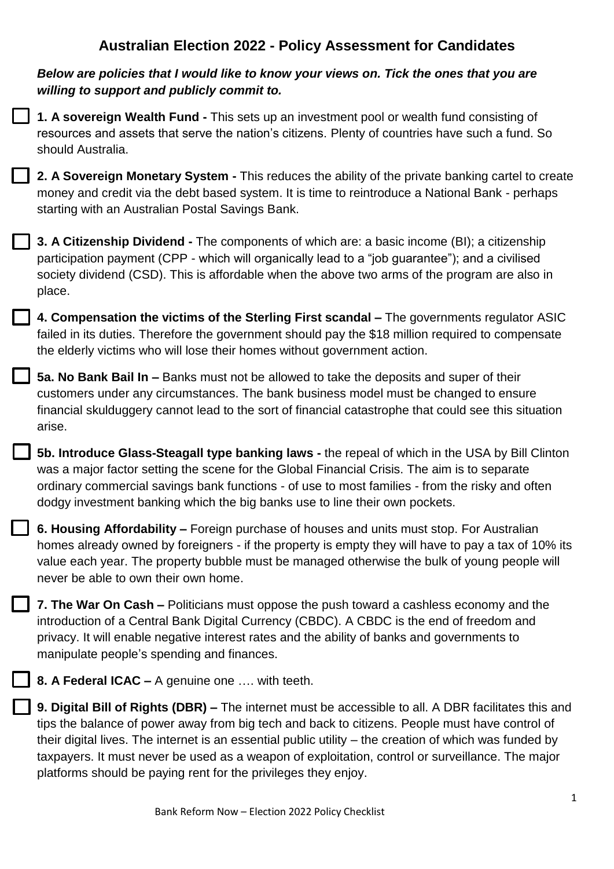## **Australian Election 2022 - Policy Assessment for Candidates**



**8. A Federal ICAC –** A genuine one …. with teeth.

**9. Digital Bill of Rights (DBR) –** The internet must be accessible to all. A DBR facilitates this and tips the balance of power away from big tech and back to citizens. People must have control of their digital lives. The internet is an essential public utility – the creation of which was funded by taxpayers. It must never be used as a weapon of exploitation, control or surveillance. The major platforms should be paying rent for the privileges they enjoy.